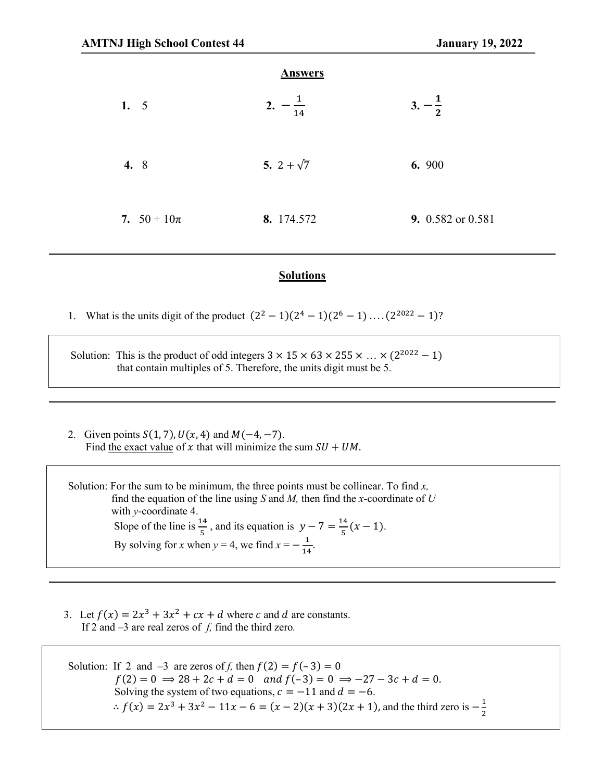|                 | <b>Answers</b>       |                   |
|-----------------|----------------------|-------------------|
| 1. $5$          | 2.<br>$\frac{1}{14}$ | $3. -\frac{1}{2}$ |
| 4. 8            | 5. 2 + $\sqrt{7}$    | 6. 900            |
| 7. $50 + 10\pi$ | 8. 174.572           | 9. 0.582 or 0.581 |

## **Solutions**

1. What is the units digit of the product  $(2^2 - 1)(2^4 - 1)(2^6 - 1) \dots (2^{2022} - 1)$ ?

Solution: This is the product of odd integers  $3 \times 15 \times 63 \times 255 \times ... \times (2^{2022} - 1)$ that contain multiples of 5. Therefore, the units digit must be 5.

2. Given points  $S(1, 7)$ ,  $U(x, 4)$  and  $M(-4, -7)$ . Find the exact value of x that will minimize the sum  $SU + UM$ .

Solution: For the sum to be minimum, the three points must be collinear. To find *x,*  find the equation of the line using  $S$  and  $M$ , then find the *x*-coordinate of  $U$  with *y*-coordinate 4. Slope of the line is  $\frac{14}{5}$ , and its equation is  $y - 7 = \frac{14}{5}(x - 1)$ . By solving for *x* when  $y = 4$ , we find  $x = -\frac{1}{14}$ .

3. Let  $f(x) = 2x^3 + 3x^2 + cx + d$  where c and d are constants. If 2 and –3 are real zeros of *f,* find the third zero*.*

Solution: If 2 and  $-3$  are zeros of *f*, then  $f(2) = f(-3) = 0$  $f(2) = 0 \implies 28 + 2c + d = 0$  and  $f(-3) = 0 \implies -27 - 3c + d = 0$ . Solving the system of two equations,  $c = -11$  and  $d = -6$ .  $\therefore f(x) = 2x^3 + 3x^2 - 11x - 6 = (x - 2)(x + 3)(2x + 1)$ , and the third zero is  $-\frac{1}{2}$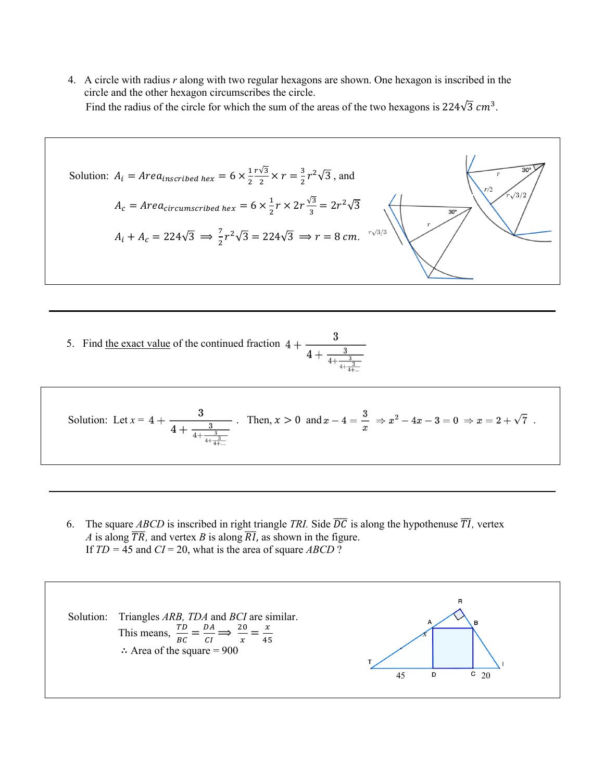4. A circle with radius *r* along with two regular hexagons are shown. One hexagon is inscribed in the circle and the other hexagon circumscribes the circle. Find the radius of the circle for which the sum of the areas of the two hexagons is 224 $\sqrt{3}$  cm<sup>3</sup>.

Solution: 
$$
A_i = Area_{inscribed\text{ hex}} = 6 \times \frac{1}{2} \cdot \frac{r\sqrt{3}}{2} \times r = \frac{3}{2} r^2 \sqrt{3}
$$
, and  
\n $A_c = Area_{circircumscribed\text{ hex}} = 6 \times \frac{1}{2} r \times 2r \frac{\sqrt{3}}{3} = 2r^2 \sqrt{3}$   
\n $A_i + A_c = 224\sqrt{3} \implies \frac{7}{2} r^2 \sqrt{3} = 224\sqrt{3} \implies r = 8 \text{ cm.}$ 

5. Find the exact value of the continued fraction  $4 + \frac{3}{4 + \frac{3}{4 + \frac{3}{4 + \frac{1}{4}}}}$ 

Solution: Let 
$$
x = 4 + \frac{3}{4 + \frac{3}{4 + \frac{3}{4 + \frac{3}{4 + \dots}}}}
$$
. Then,  $x > 0$  and  $x - 4 = \frac{3}{x} \Rightarrow x^2 - 4x - 3 = 0 \Rightarrow x = 2 + \sqrt{7}$ .

6. The square *ABCD* is inscribed in right triangle *TRI*. Side  $\overline{DC}$  is along the hypothenuse  $\overline{TI}$ , vertex *A* is along  $\overline{TR}$ , and vertex *B* is along  $\overline{RI}$ , as shown in the figure. If  $TD = 45$  and  $CI = 20$ , what is the area of square *ABCD* ?